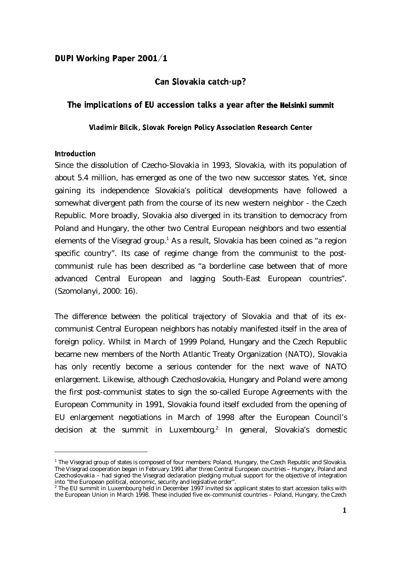#### DUPI Working Paper 2001/1

### Can Slovakia catch-up?

#### The implications of EU accession talks a year after the Helsinki summit

Vladimir Bilcik, Slovak Foreign Policy Association Research Center

#### **Introduction**

 $\overline{a}$ 

Since the dissolution of Czecho-Slovakia in 1993, Slovakia, with its population of about 5.4 million, has emerged as one of the two new successor states. Yet, since gaining its independence Slovakia's political developments have followed a somewhat divergent path from the course of its new western neighbor - the Czech Republic. More broadly, Slovakia also diverged in its transition to democracy from Poland and Hungary, the other two Central European neighbors and two essential elements of the Visegrad group.<sup>1</sup> As a result, Slovakia has been coined as "a region specific country". Its case of regime change from the communist to the postcommunist rule has been described as "a borderline case between that of more advanced Central European and lagging South-East European countries". (Szomolanyi, 2000: 16).

The difference between the political trajectory of Slovakia and that of its excommunist Central European neighbors has notably manifested itself in the area of foreign policy. Whilst in March of 1999 Poland, Hungary and the Czech Republic became new members of the North Atlantic Treaty Organization (NATO), Slovakia has only recently become a serious contender for the next wave of NATO enlargement. Likewise, although Czechoslovakia, Hungary and Poland were among the first post-communist states to sign the so-called Europe Agreements with the European Community in 1991, Slovakia found itself excluded from the opening of EU enlargement negotiations in March of 1998 after the European Council's decision at the summit in Luxembourg.<sup>2</sup> In general, Slovakia's domestic

<sup>&</sup>lt;sup>1</sup> The Visegrad group of states is composed of four members: Poland, Hungary, the Czech Republic and Slovakia. The Visegrad cooperation began in February 1991 after three Central European countries – Hungary, Poland and Czechoslovakia – had signed the Visegrad declaration pledging mutual support for the objective of integration into "the European political, economic, security and legislative order".

<sup>&</sup>lt;sup>2</sup> The EU summit in Luxembourg held in December 1997 invited six applicant states to start accession talks with the European Union in March 1998. These included five ex-communist countries – Poland, Hungary, the Czech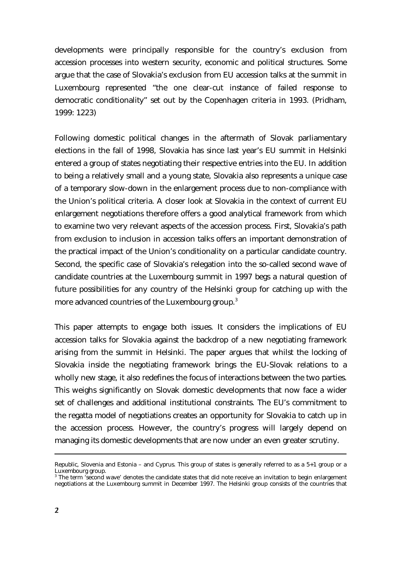developments were principally responsible for the country's exclusion from accession processes into western security, economic and political structures. Some argue that the case of Slovakia's exclusion from EU accession talks at the summit in Luxembourg represented "the one clear-cut instance of failed response to democratic conditionality" set out by the Copenhagen criteria in 1993. (Pridham, 1999: 1223)

Following domestic political changes in the aftermath of Slovak parliamentary elections in the fall of 1998, Slovakia has since last year's EU summit in Helsinki entered a group of states negotiating their respective entries into the EU. In addition to being a relatively small and a young state, Slovakia also represents a unique case of a temporary slow-down in the enlargement process due to non-compliance with the Union's political criteria. A closer look at Slovakia in the context of current EU enlargement negotiations therefore offers a good analytical framework from which to examine two very relevant aspects of the accession process. First, Slovakia's path from exclusion to inclusion in accession talks offers an important demonstration of the practical impact of the Union's conditionality on a particular candidate country. Second, the specific case of Slovakia's relegation into the so-called second wave of candidate countries at the Luxembourg summit in 1997 begs a natural question of future possibilities for any country of the Helsinki group for catching up with the more advanced countries of the Luxembourg group.<sup>3</sup>

This paper attempts to engage both issues. It considers the implications of EU accession talks for Slovakia against the backdrop of a new negotiating framework arising from the summit in Helsinki. The paper argues that whilst the locking of Slovakia inside the negotiating framework brings the EU-Slovak relations to a wholly new stage, it also redefines the focus of interactions between the two parties. This weighs significantly on Slovak domestic developments that now face a wider set of challenges and additional institutional constraints. The EU's commitment to the regatta model of negotiations creates an opportunity for Slovakia to catch up in the accession process. However, the country's progress will largely depend on managing its domestic developments that are now under an even greater scrutiny.

Republic, Slovenia and Estonia – and Cyprus. This group of states is generally referred to as a 5+1 group or a Luxembourg group.

<sup>&</sup>lt;sup>3</sup>The term 'second wave' denotes the candidate states that did note receive an invitation to begin enlargement negotiations at the Luxembourg summit in December 1997. The Helsinki group consists of the countries that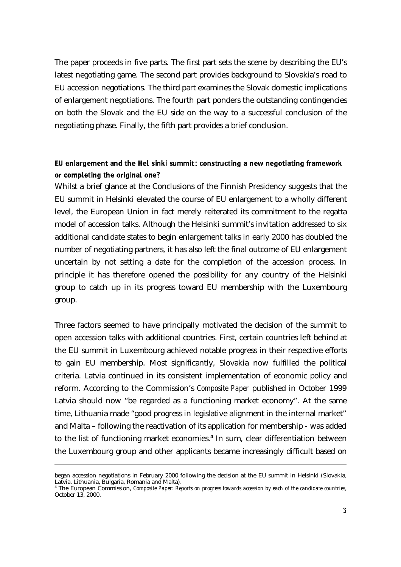The paper proceeds in five parts. The first part sets the scene by describing the EU's latest negotiating game. The second part provides background to Slovakia's road to EU accession negotiations. The third part examines the Slovak domestic implications of enlargement negotiations. The fourth part ponders the outstanding contingencies on both the Slovak and the EU side on the way to a successful conclusion of the negotiating phase. Finally, the fifth part provides a brief conclusion.

# EU enlargement and the Hel sinki summit: constructing a new negotiating framework or completing the original one?

Whilst a brief glance at the Conclusions of the Finnish Presidency suggests that the EU summit in Helsinki elevated the course of EU enlargement to a wholly different level, the European Union in fact merely reiterated its commitment to the regatta model of accession talks. Although the Helsinki summit's invitation addressed to six additional candidate states to begin enlargement talks in early 2000 has doubled the number of negotiating partners, it has also left the final outcome of EU enlargement uncertain by not setting a date for the completion of the accession process. In principle it has therefore opened the possibility for any country of the Helsinki group to catch up in its progress toward EU membership with the Luxembourg group.

Three factors seemed to have principally motivated the decision of the summit to open accession talks with additional countries. First, certain countries left behind at the EU summit in Luxembourg achieved notable progress in their respective efforts to gain EU membership. Most significantly, Slovakia now fulfilled the political criteria. Latvia continued in its consistent implementation of economic policy and reform. According to the Commission's *Composite Paper* published in October 1999 Latvia should now "be regarded as a functioning market economy". At the same time, Lithuania made "good progress in legislative alignment in the internal market" and Malta – following the reactivation of its application for membership - was added to the list of functioning market economies.**<sup>4</sup>**In sum, clear differentiation between the Luxembourg group and other applicants became increasingly difficult based on

began accession negotiations in February 2000 following the decision at the EU summit in Helsinki (Slovakia, Latvia, Lithuania, Bulgaria, Romania and Malta).

<sup>4</sup>The European Commission, *Composite Paper: Reports on progress towards accession by each of the candidate countries*, October 13, 2000.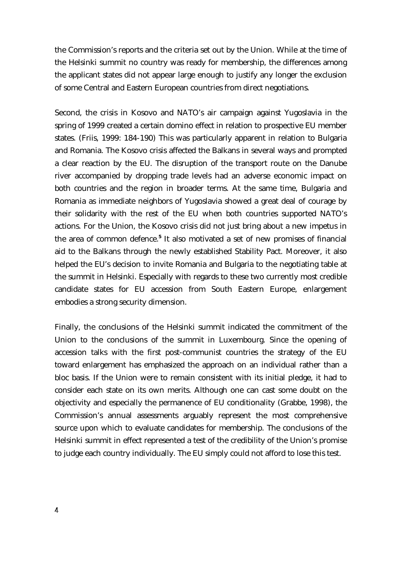the Commission's reports and the criteria set out by the Union. While at the time of the Helsinki summit no country was ready for membership, the differences among the applicant states did not appear large enough to justify any longer the exclusion of some Central and Eastern European countries from direct negotiations.

Second, the crisis in Kosovo and NATO's air campaign against Yugoslavia in the spring of 1999 created a certain domino effect in relation to prospective EU member states. (Friis, 1999: 184-190) This was particularly apparent in relation to Bulgaria and Romania. The Kosovo crisis affected the Balkans in several ways and prompted a clear reaction by the EU. The disruption of the transport route on the Danube river accompanied by dropping trade levels had an adverse economic impact on both countries and the region in broader terms. At the same time, Bulgaria and Romania as immediate neighbors of Yugoslavia showed a great deal of courage by their solidarity with the rest of the EU when both countries supported NATO's actions. For the Union, the Kosovo crisis did not just bring about a new impetus in the area of common defence.**<sup>5</sup>**It also motivated a set of new promises of financial aid to the Balkans through the newly established Stability Pact. Moreover, it also helped the EU's decision to invite Romania and Bulgaria to the negotiating table at the summit in Helsinki. Especially with regards to these two currently most credible candidate states for EU accession from South Eastern Europe, enlargement embodies a strong security dimension.

Finally, the conclusions of the Helsinki summit indicated the commitment of the Union to the conclusions of the summit in Luxembourg. Since the opening of accession talks with the first post-communist countries the strategy of the EU toward enlargement has emphasized the approach on an individual rather than a bloc basis. If the Union were to remain consistent with its initial pledge, it had to consider each state on its own merits. Although one can cast some doubt on the objectivity and especially the permanence of EU conditionality (Grabbe, 1998), the Commission's annual assessments arguably represent the most comprehensive source upon which to evaluate candidates for membership. The conclusions of the Helsinki summit in effect represented a test of the credibility of the Union's promise to judge each country individually. The EU simply could not afford to lose this test.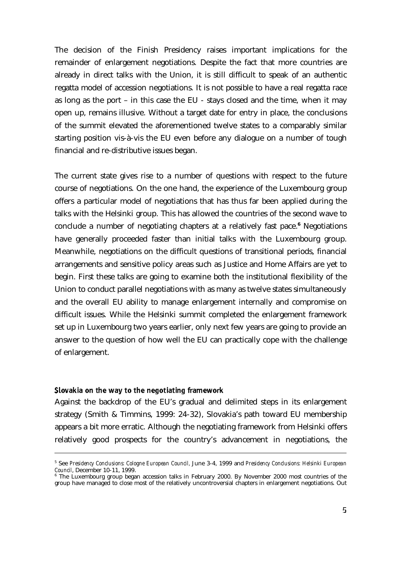The decision of the Finish Presidency raises important implications for the remainder of enlargement negotiations. Despite the fact that more countries are already in direct talks with the Union, it is still difficult to speak of an authentic regatta model of accession negotiations. It is not possible to have a real regatta race as long as the port – in this case the EU - stays closed and the time, when it may open up, remains illusive. Without a target date for entry in place, the conclusions of the summit elevated the aforementioned twelve states to a comparably similar starting position vis-à-vis the EU even before any dialogue on a number of tough financial and re-distributive issues began.

The current state gives rise to a number of questions with respect to the future course of negotiations. On the one hand, the experience of the Luxembourg group offers a particular model of negotiations that has thus far been applied during the talks with the Helsinki group. This has allowed the countries of the second wave to conclude a number of negotiating chapters at a relatively fast pace.<sup>6</sup> Negotiations have generally proceeded faster than initial talks with the Luxembourg group. Meanwhile, negotiations on the difficult questions of transitional periods, financial arrangements and sensitive policy areas such as Justice and Home Affairs are yet to begin. First these talks are going to examine both the institutional flexibility of the Union to conduct parallel negotiations with as many as twelve states simultaneously and the overall EU ability to manage enlargement internally and compromise on difficult issues. While the Helsinki summit completed the enlargement framework set up in Luxembourg two years earlier, only next few years are going to provide an answer to the question of how well the EU can practically cope with the challenge of enlargement.

#### Slovakia on the way to the negotiating framework

 $\overline{a}$ 

Against the backdrop of the EU's gradual and delimited steps in its enlargement strategy (Smith & Timmins, 1999: 24-32), Slovakia's path toward EU membership appears a bit more erratic. Although the negotiating framework from Helsinki offers relatively good prospects for the country's advancement in negotiations, the

<sup>5</sup>See *Presidency Conclusions: Cologne European Council,* June 3-4, 1999 and *Presidency Conclusions: Helsinki European Council*, December 10-11, 1999.

 $6$  The Luxembourg group began accession talks in February 2000. By November 2000 most countries of the group have managed to close most of the relatively uncontroversial chapters in enlargement negotiations. Out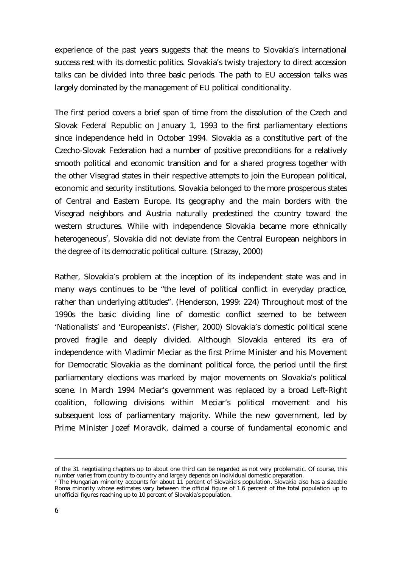experience of the past years suggests that the means to Slovakia's international success rest with its domestic politics. Slovakia's twisty trajectory to direct accession talks can be divided into three basic periods. The path to EU accession talks was largely dominated by the management of EU political conditionality.

The first period covers a brief span of time from the dissolution of the Czech and Slovak Federal Republic on January 1, 1993 to the first parliamentary elections since independence held in October 1994. Slovakia as a constitutive part of the Czecho-Slovak Federation had a number of positive preconditions for a relatively smooth political and economic transition and for a shared progress together with the other Visegrad states in their respective attempts to join the European political, economic and security institutions. Slovakia belonged to the more prosperous states of Central and Eastern Europe. Its geography and the main borders with the Visegrad neighbors and Austria naturally predestined the country toward the western structures. While with independence Slovakia became more ethnically heterogeneous<sup>7</sup>, Slovakia did not deviate from the Central European neighbors in the degree of its democratic political culture. (Strazay, 2000)

Rather, Slovakia's problem at the inception of its independent state was and in many ways continues to be "the level of political conflict in everyday practice, rather than underlying attitudes". (Henderson, 1999: 224) Throughout most of the 1990s the basic dividing line of domestic conflict seemed to be between 'Nationalists' and 'Europeanists'. (Fisher, 2000) Slovakia's domestic political scene proved fragile and deeply divided. Although Slovakia entered its era of independence with Vladimir Meciar as the first Prime Minister and his Movement for Democratic Slovakia as the dominant political force, the period until the first parliamentary elections was marked by major movements on Slovakia's political scene. In March 1994 Meciar's government was replaced by a broad Left-Right coalition, following divisions within Meciar's political movement and his subsequent loss of parliamentary majority. While the new government, led by Prime Minister Jozef Moravcik, claimed a course of fundamental economic and

of the 31 negotiating chapters up to about one third can be regarded as not very problematic. Of course, this number varies from country to country and largely depends on individual domestic preparation.

<sup>&</sup>lt;sup>7</sup> The Hungarian minority accounts for about  $11$  percent of Slovakia's population. Slovakia also has a sizeable Roma minority whose estimates vary between the official figure of 1.6 percent of the total population up to unofficial figures reaching up to 10 percent of Slovakia's population.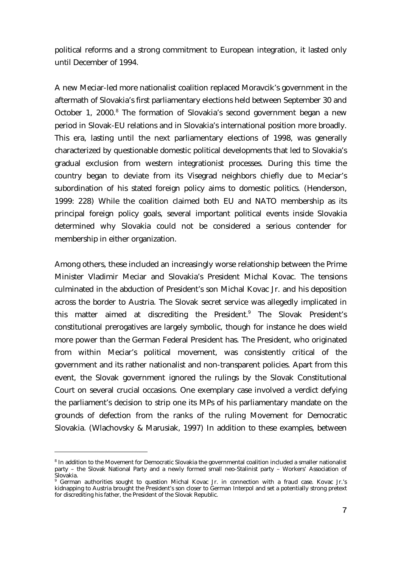political reforms and a strong commitment to European integration, it lasted only until December of 1994.

A new Meciar-led more nationalist coalition replaced Moravcik's government in the aftermath of Slovakia's first parliamentary elections held between September 30 and October 1, 2000.<sup>8</sup> The formation of Slovakia's second government began a new period in Slovak-EU relations and in Slovakia's international position more broadly. This era, lasting until the next parliamentary elections of 1998, was generally characterized by questionable domestic political developments that led to Slovakia's gradual exclusion from western integrationist processes. During this time the country began to deviate from its Visegrad neighbors chiefly due to Meciar's subordination of his stated foreign policy aims to domestic politics. (Henderson, 1999: 228) While the coalition claimed both EU and NATO membership as its principal foreign policy goals, several important political events inside Slovakia determined why Slovakia could not be considered a serious contender for membership in either organization.

Among others, these included an increasingly worse relationship between the Prime Minister Vladimir Meciar and Slovakia's President Michal Kovac. The tensions culminated in the abduction of President's son Michal Kovac Jr. and his deposition across the border to Austria. The Slovak secret service was allegedly implicated in this matter aimed at discrediting the President.<sup>9</sup> The Slovak President's constitutional prerogatives are largely symbolic, though for instance he does wield more power than the German Federal President has. The President, who originated from within Meciar's political movement, was consistently critical of the government and its rather nationalist and non-transparent policies. Apart from this event, the Slovak government ignored the rulings by the Slovak Constitutional Court on several crucial occasions. One exemplary case involved a verdict defying the parliament's decision to strip one its MPs of his parliamentary mandate on the grounds of defection from the ranks of the ruling Movement for Democratic Slovakia. (Wlachovsky & Marusiak, 1997) In addition to these examples, between

<sup>&</sup>lt;sup>8</sup> In addition to the Movement for Democratic Slovakia the governmental coalition included a smaller nationalist party – the Slovak National Party and a newly formed small neo-Stalinist party – Workers' Association of Slovakia.

<sup>&</sup>lt;sup>9</sup> German authorities sought to question Michal Kovac Jr. in connection with a fraud case. Kovac Jr.'s kidnapping to Austria brought the President's son closer to German Interpol and set a potentially strong pretext for discrediting his father, the President of the Slovak Republic.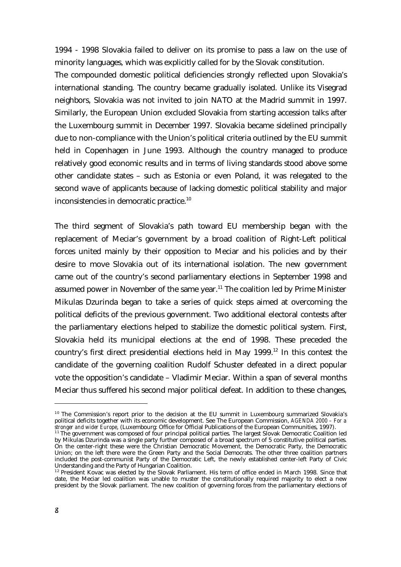1994 - 1998 Slovakia failed to deliver on its promise to pass a law on the use of minority languages, which was explicitly called for by the Slovak constitution.

The compounded domestic political deficiencies strongly reflected upon Slovakia's international standing. The country became gradually isolated. Unlike its Visegrad neighbors, Slovakia was not invited to join NATO at the Madrid summit in 1997. Similarly, the European Union excluded Slovakia from starting accession talks after the Luxembourg summit in December 1997. Slovakia became sidelined principally due to non-compliance with the Union's political criteria outlined by the EU summit held in Copenhagen in June 1993. Although the country managed to produce relatively good economic results and in terms of living standards stood above some other candidate states – such as Estonia or even Poland, it was relegated to the second wave of applicants because of lacking domestic political stability and major inconsistencies in democratic practice.<sup>10</sup>

The third segment of Slovakia's path toward EU membership began with the replacement of Meciar's government by a broad coalition of Right-Left political forces united mainly by their opposition to Meciar and his policies and by their desire to move Slovakia out of its international isolation. The new government came out of the country's second parliamentary elections in September 1998 and assumed power in November of the same year.<sup>11</sup> The coalition led by Prime Minister Mikulas Dzurinda began to take a series of quick steps aimed at overcoming the political deficits of the previous government. Two additional electoral contests after the parliamentary elections helped to stabilize the domestic political system. First, Slovakia held its municipal elections at the end of 1998. These preceded the country's first direct presidential elections held in May  $1999$ .<sup>12</sup> In this contest the candidate of the governing coalition Rudolf Schuster defeated in a direct popular vote the opposition's candidate – Vladimir Meciar. Within a span of several months Meciar thus suffered his second major political defeat. In addition to these changes,

 $10$  The Commission's report prior to the decision at the EU summit in Luxembourg summarized Slovakia's political deficits together with its economic development. See The European Commission, *AGENDA 2000 – For a stronger and wider Europe*, (Luxembourg: Office for Official Publications of the European Communities, 1997).

 $11$  The government was composed of four principal political parties. The largest Slovak Democratic Coalition led by Mikulas Dzurinda was a single party further composed of a broad spectrum of 5 constitutive political parties. On the center-right these were the Christian Democratic Movement, the Democratic Party, the Democratic Union; on the left there were the Green Party and the Social Democrats. The other three coalition partners included the post-communist Party of the Democratic Left, the newly established center-left Party of Civic Understanding and the Party of Hungarian Coalition.

 $12$  President Kovac was elected by the Slovak Parliament. His term of office ended in March 1998. Since that date, the Meciar led coalition was unable to muster the constitutionally required majority to elect a new president by the Slovak parliament. The new coalition of governing forces from the parliamentary elections of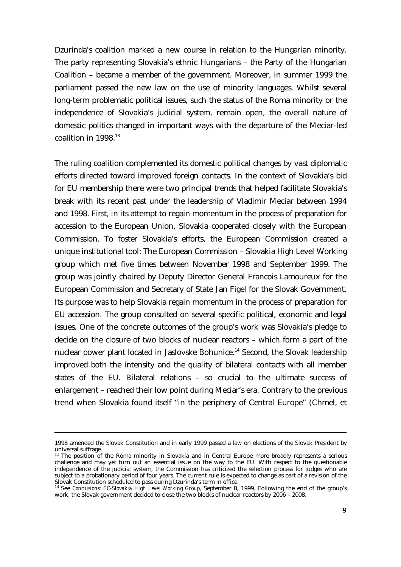Dzurinda's coalition marked a new course in relation to the Hungarian minority. The party representing Slovakia's ethnic Hungarians – the Party of the Hungarian Coalition – became a member of the government. Moreover, in summer 1999 the parliament passed the new law on the use of minority languages. Whilst several long-term problematic political issues, such the status of the Roma minority or the independence of Slovakia's judicial system, remain open, the overall nature of domestic politics changed in important ways with the departure of the Meciar-led coalition in  $1998<sup>13</sup>$ 

The ruling coalition complemented its domestic political changes by vast diplomatic efforts directed toward improved foreign contacts. In the context of Slovakia's bid for EU membership there were two principal trends that helped facilitate Slovakia's break with its recent past under the leadership of Vladimir Meciar between 1994 and 1998. First, in its attempt to regain momentum in the process of preparation for accession to the European Union, Slovakia cooperated closely with the European Commission. To foster Slovakia's efforts, the European Commission created a unique institutional tool: The European Commission – Slovakia High Level Working group which met five times between November 1998 and September 1999. The group was jointly chaired by Deputy Director General Francois Lamoureux for the European Commission and Secretary of State Jan Figel for the Slovak Government. Its purpose was to help Slovakia regain momentum in the process of preparation for EU accession. The group consulted on several specific political, economic and legal issues. One of the concrete outcomes of the group's work was Slovakia's pledge to decide on the closure of two blocks of nuclear reactors – which form a part of the nuclear power plant located in Jaslovske Bohunice.<sup>14</sup> Second, the Slovak leadership improved both the intensity and the quality of bilateral contacts with all member states of the EU. Bilateral relations – so crucial to the ultimate success of enlargement – reached their low point during Meciar's era. Contrary to the previous trend when Slovakia found itself "in the periphery of Central Europe" (Chmel, et

<sup>1998</sup> amended the Slovak Constitution and in early 1999 passed a law on elections of the Slovak President by universal suffrage.

 $13$  The position of the Roma minority in Slovakia and in Central Europe more broadly represents a serious challenge and may yet turn out an essential issue on the way to the EU. With respect to the questionable independence of the judicial system, the Commission has criticized the selection process for judges who are subject to a probationary period of four years. The current rule is expected to change as part of a revision of the Slovak Constitution scheduled to pass during Dzurinda's term in office.

<sup>&</sup>lt;sup>14</sup> See *Conclusions: EC-Slovakia High Level Working Group*, September 8, 1999. Following the end of the group's work, the Slovak government decided to close the two blocks of nuclear reactors by 2006 – 2008.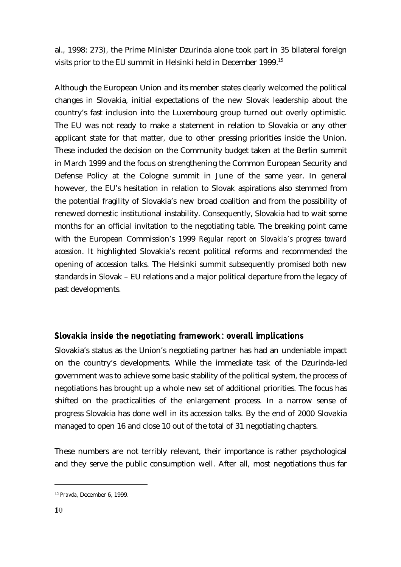al., 1998: 273), the Prime Minister Dzurinda alone took part in 35 bilateral foreign visits prior to the EU summit in Helsinki held in December 1999.<sup>15</sup>

Although the European Union and its member states clearly welcomed the political changes in Slovakia, initial expectations of the new Slovak leadership about the country's fast inclusion into the Luxembourg group turned out overly optimistic. The EU was not ready to make a statement in relation to Slovakia or any other applicant state for that matter, due to other pressing priorities inside the Union. These included the decision on the Community budget taken at the Berlin summit in March 1999 and the focus on strengthening the Common European Security and Defense Policy at the Cologne summit in June of the same year. In general however, the EU's hesitation in relation to Slovak aspirations also stemmed from the potential fragility of Slovakia's new broad coalition and from the possibility of renewed domestic institutional instability. Consequently, Slovakia had to wait some months for an official invitation to the negotiating table. The breaking point came with the European Commission's 1999 *Regular report on Slovakia's progress toward accession*. It highlighted Slovakia's recent political reforms and recommended the opening of accession talks. The Helsinki summit subsequently promised both new standards in Slovak – EU relations and a major political departure from the legacy of past developments.

# Slovakia inside the negotiating framework: overall implications

Slovakia's status as the Union's negotiating partner has had an undeniable impact on the country's developments. While the immediate task of the Dzurinda-led government was to achieve some basic stability of the political system, the process of negotiations has brought up a whole new set of additional priorities. The focus has shifted on the practicalities of the enlargement process. In a narrow sense of progress Slovakia has done well in its accession talks. By the end of 2000 Slovakia managed to open 16 and close 10 out of the total of 31 negotiating chapters.

These numbers are not terribly relevant, their importance is rather psychological and they serve the public consumption well. After all, most negotiations thus far

<sup>1 5</sup> *Pravda,* December 6, 1999.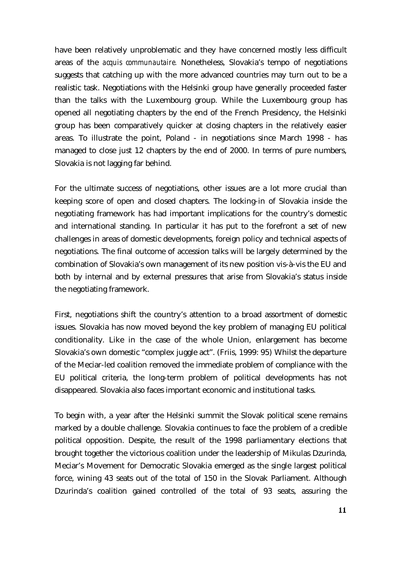have been relatively unproblematic and they have concerned mostly less difficult areas of the *acquis communautaire.* Nonetheless, Slovakia's tempo of negotiations suggests that catching up with the more advanced countries may turn out to be a realistic task. Negotiations with the Helsinki group have generally proceeded faster than the talks with the Luxembourg group. While the Luxembourg group has opened all negotiating chapters by the end of the French Presidency, the Helsinki group has been comparatively quicker at closing chapters in the relatively easier areas. To illustrate the point, Poland - in negotiations since March 1998 - has managed to close just 12 chapters by the end of 2000. In terms of pure numbers, Slovakia is not lagging far behind.

For the ultimate success of negotiations, other issues are a lot more crucial than keeping score of open and closed chapters. The locking-in of Slovakia inside the negotiating framework has had important implications for the country's domestic and international standing. In particular it has put to the forefront a set of new challenges in areas of domestic developments, foreign policy and technical aspects of negotiations. The final outcome of accession talks will be largely determined by the combination of Slovakia's own management of its new position vis-à-vis the EU and both by internal and by external pressures that arise from Slovakia's status inside the negotiating framework.

First, negotiations shift the country's attention to a broad assortment of domestic issues. Slovakia has now moved beyond the key problem of managing EU political conditionality. Like in the case of the whole Union, enlargement has become Slovakia's own domestic "complex juggle act". (Friis, 1999: 95) Whilst the departure of the Meciar-led coalition removed the immediate problem of compliance with the EU political criteria, the long-term problem of political developments has not disappeared. Slovakia also faces important economic and institutional tasks.

To begin with, a year after the Helsinki summit the Slovak political scene remains marked by a double challenge. Slovakia continues to face the problem of a credible political opposition. Despite, the result of the 1998 parliamentary elections that brought together the victorious coalition under the leadership of Mikulas Dzurinda, Meciar's Movement for Democratic Slovakia emerged as the single largest political force, wining 43 seats out of the total of 150 in the Slovak Parliament. Although Dzurinda's coalition gained controlled of the total of 93 seats, assuring the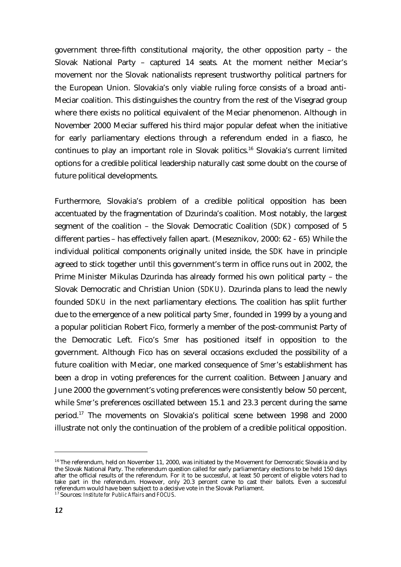government three-fifth constitutional majority, the other opposition party – the Slovak National Party – captured 14 seats. At the moment neither Meciar's movement nor the Slovak nationalists represent trustworthy political partners for the European Union. Slovakia's only viable ruling force consists of a broad anti-Meciar coalition. This distinguishes the country from the rest of the Visegrad group where there exists no political equivalent of the Meciar phenomenon. Although in November 2000 Meciar suffered his third major popular defeat when the initiative for early parliamentary elections through a referendum ended in a fiasco, he continues to play an important role in Slovak politics.<sup>16</sup> Slovakia's current limited options for a credible political leadership naturally cast some doubt on the course of future political developments.

Furthermore, Slovakia's problem of a credible political opposition has been accentuated by the fragmentation of Dzurinda's coalition. Most notably, the largest segment of the coalition – the Slovak Democratic Coalition (*SDK*) composed of 5 different parties – has effectively fallen apart. (Meseznikov, 2000: 62 - 65) While the individual political components originally united inside, the *SDK* have in principle agreed to stick together until this government's term in office runs out in 2002, the Prime Minister Mikulas Dzurinda has already formed his own political party – the Slovak Democratic and Christian Union (*SDKU*). Dzurinda plans to lead the newly founded *SDKU* in the next parliamentary elections. The coalition has split further due to the emergence of a new political party *Smer*, founded in 1999 by a young and a popular politician Robert Fico, formerly a member of the post-communist Party of the Democratic Left. Fico's *Smer* has positioned itself in opposition to the government. Although Fico has on several occasions excluded the possibility of a future coalition with Meciar, one marked consequence of *Smer*'s establishment has been a drop in voting preferences for the current coalition. Between January and June 2000 the government's voting preferences were consistently below 50 percent, while *Smer*'s preferences oscillated between 15.1 and 23.3 percent during the same period.<sup>17</sup> The movements on Slovakia's political scene between 1998 and 2000 illustrate not only the continuation of the problem of a credible political opposition.

 $16$  The referendum, held on November 11, 2000, was initiated by the Movement for Democratic Slovakia and by the Slovak National Party. The referendum question called for early parliamentary elections to be held 150 days after the official results of the referendum. For it to be successful, at least 50 percent of eligible voters had to take part in the referendum. However, only 20.3 percent came to cast their ballots. Even a successful referendum would have been subject to a decisive vote in the Slovak Parliament.

<sup>1 7</sup> Sources: *Institute for Public Affairs* and *FOCUS*.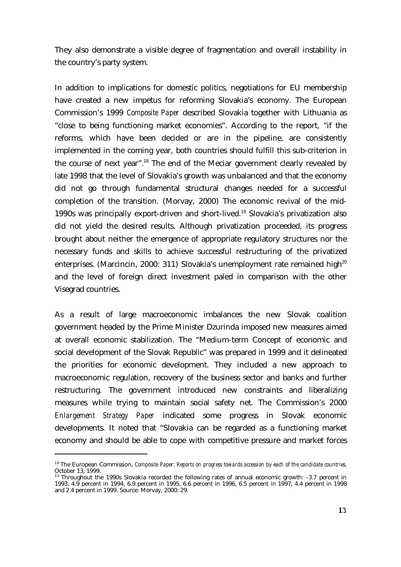They also demonstrate a visible degree of fragmentation and overall instability in the country's party system.

In addition to implications for domestic politics, negotiations for EU membership have created a new impetus for reforming Slovakia's economy. The European Commission's 1999 *Composite Paper* described Slovakia together with Lithuania as "close to being functioning market economies". According to the report, "if the reforms, which have been decided or are in the pipeline, are consistently implemented in the coming year, both countries should fulfill this sub-criterion in the course of next year".<sup>18</sup> The end of the Meciar government clearly revealed by late 1998 that the level of Slovakia's growth was unbalanced and that the economy did not go through fundamental structural changes needed for a successful completion of the transition. (Morvay, 2000) The economic revival of the mid-1990s was principally export-driven and short-lived.<sup>19</sup> Slovakia's privatization also did not yield the desired results. Although privatization proceeded, its progress brought about neither the emergence of appropriate regulatory structures nor the necessary funds and skills to achieve successful restructuring of the privatized enterprises. (Marcincin, 2000: 311) Slovakia's unemployment rate remained high<sup>20</sup> and the level of foreign direct investment paled in comparison with the other Visegrad countries.

As a result of large macroeconomic imbalances the new Slovak coalition government headed by the Prime Minister Dzurinda imposed new measures aimed at overall economic stabilization. The "Medium-term Concept of economic and social development of the Slovak Republic" was prepared in 1999 and it delineated the priorities for economic development. They included a new approach to macroeconomic regulation, recovery of the business sector and banks and further restructuring. The government introduced new constraints and liberalizing measures while trying to maintain social safety net. The Commission's 2000 *Enlargement Strategy Paper* indicated some progress in Slovak economic developments. It noted that "Slovakia can be regarded as a functioning market economy and should be able to cope with competitive pressure and market forces

<sup>&</sup>lt;sup>18</sup> The European Commission, *Composite Paper: Reports on progress towards accession by each of the candidate countries,* October 13, 1999.

<sup>&</sup>lt;sup>19</sup> Throughout the 1990s Slovakia recorded the following rates of annual economic growth: -3.7 percent in 1993, 4.9 percent in 1994, 6.9 percent in 1995, 6.6 percent in 1996, 6.5 percent in 1997, 4.4 percent in 1998 and 2.4 percent in 1999. Source: Morvay, 2000: 29.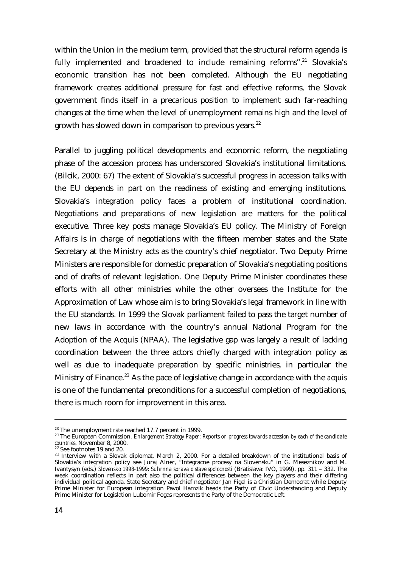within the Union in the medium term, provided that the structural reform agenda is fully implemented and broadened to include remaining reforms".<sup>21</sup> Slovakia's economic transition has not been completed. Although the EU negotiating framework creates additional pressure for fast and effective reforms, the Slovak government finds itself in a precarious position to implement such far-reaching changes at the time when the level of unemployment remains high and the level of growth has slowed down in comparison to previous years. $^{22}$ 

Parallel to juggling political developments and economic reform, the negotiating phase of the accession process has underscored Slovakia's institutional limitations. (Bilcik, 2000: 67) The extent of Slovakia's successful progress in accession talks with the EU depends in part on the readiness of existing and emerging institutions. Slovakia's integration policy faces a problem of institutional coordination. Negotiations and preparations of new legislation are matters for the political executive. Three key posts manage Slovakia's EU policy. The Ministry of Foreign Affairs is in charge of negotiations with the fifteen member states and the State Secretary at the Ministry acts as the country's chief negotiator. Two Deputy Prime Ministers are responsible for domestic preparation of Slovakia's negotiating positions and of drafts of relevant legislation. One Deputy Prime Minister coordinates these efforts with all other ministries while the other oversees the Institute for the Approximation of Law whose aim is to bring Slovakia's legal framework in line with the EU standards. In 1999 the Slovak parliament failed to pass the target number of new laws in accordance with the country's annual National Program for the Adoption of the Acquis (NPAA). The legislative gap was largely a result of lacking coordination between the three actors chiefly charged with integration policy as well as due to inadequate preparation by specific ministries, in particular the Ministry of Finance.<sup>23</sup> As the pace of legislative change in accordance with the *acquis* is one of the fundamental preconditions for a successful completion of negotiations, there is much room for improvement in this area.

 $20$  The unemployment rate reached 17.7 percent in 1999.

<sup>&</sup>lt;sup>21</sup> The European Commission, *Enlargement Strategy Paper: Reports on progress towards accession by each of the candidate countries,* November 8, 2000.

<sup>&</sup>lt;sup>22</sup> See footnotes 19 and 20.

 $^{23}$  Interview with a Slovak diplomat, March 2, 2000. For a detailed breakdown of the institutional basis of Slovakia's integration policy see Juraj Alner, "Integracne procesy na Slovensku" in G. Meseznikov and M. Ivantysyn (eds.) *Slovensko 1998-1999: Suhrnna sprava o stave spolocnosti* (Bratislava: IVO, 1999), pp. 311 – 332. The weak coordination reflects in part also the political differences between the key players and their differing individual political agenda. State Secretary and chief negotiator Jan Figel is a Christian Democrat while Deputy Prime Minister for European integration Pavol Hamzik heads the Party of Civic Understanding and Deputy Prime Minister for Legislation Lubomir Fogas represents the Party of the Democratic Left.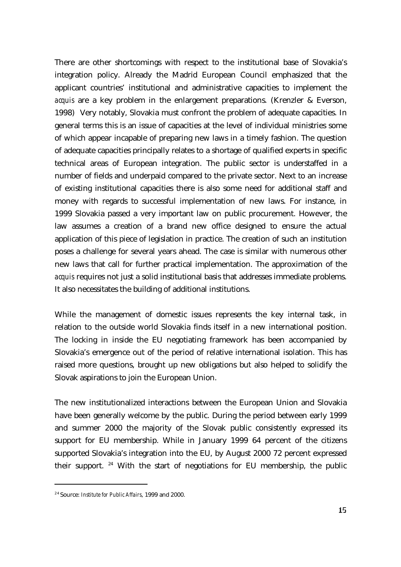There are other shortcomings with respect to the institutional base of Slovakia's integration policy. Already the Madrid European Council emphasized that the applicant countries' institutional and administrative capacities to implement the *acquis* are a key problem in the enlargement preparations. (Krenzler & Everson, 1998) Very notably, Slovakia must confront the problem of adequate capacities. In general terms this is an issue of capacities at the level of individual ministries some of which appear incapable of preparing new laws in a timely fashion. The question of adequate capacities principally relates to a shortage of qualified experts in specific technical areas of European integration. The public sector is understaffed in a number of fields and underpaid compared to the private sector. Next to an increase of existing institutional capacities there is also some need for additional staff and money with regards to successful implementation of new laws. For instance, in 1999 Slovakia passed a very important law on public procurement. However, the law assumes a creation of a brand new office designed to ensure the actual application of this piece of legislation in practice. The creation of such an institution poses a challenge for several years ahead. The case is similar with numerous other new laws that call for further practical implementation. The approximation of the *acquis* requires not just a solid institutional basis that addresses immediate problems. It also necessitates the building of additional institutions.

While the management of domestic issues represents the key internal task, in relation to the outside world Slovakia finds itself in a new international position. The locking in inside the EU negotiating framework has been accompanied by Slovakia's emergence out of the period of relative international isolation. This has raised more questions, brought up new obligations but also helped to solidify the Slovak aspirations to join the European Union.

The new institutionalized interactions between the European Union and Slovakia have been generally welcome by the public. During the period between early 1999 and summer 2000 the majority of the Slovak public consistently expressed its support for EU membership. While in January 1999 64 percent of the citizens supported Slovakia's integration into the EU, by August 2000 72 percent expressed their support.  $24$  With the start of negotiations for EU membership, the public

<sup>2 4</sup> Source: *Institute for Public Affairs*, 1999 and 2000.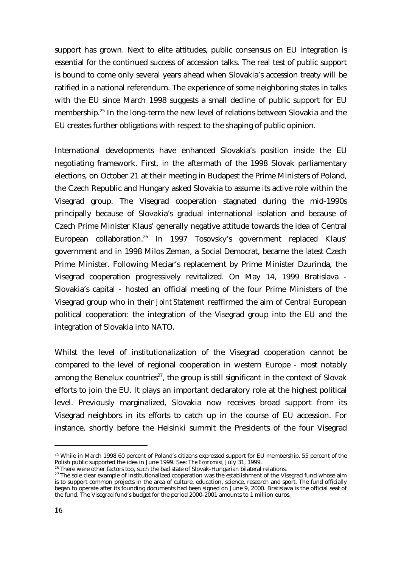support has grown. Next to elite attitudes, public consensus on EU integration is essential for the continued success of accession talks. The real test of public support is bound to come only several years ahead when Slovakia's accession treaty will be ratified in a national referendum. The experience of some neighboring states in talks with the EU since March 1998 suggests a small decline of public support for EU membership.<sup>25</sup> In the long-term the new level of relations between Slovakia and the EU creates further obligations with respect to the shaping of public opinion.

International developments have enhanced Slovakia's position inside the EU negotiating framework. First, in the aftermath of the 1998 Slovak parliamentary elections, on October 21 at their meeting in Budapest the Prime Ministers of Poland, the Czech Republic and Hungary asked Slovakia to assume its active role within the Visegrad group. The Visegrad cooperation stagnated during the mid-1990s principally because of Slovakia's gradual international isolation and because of Czech Prime Minister Klaus' generally negative attitude towards the idea of Central European collaboration.<sup>26</sup> In 1997 Tosovsky's government replaced Klaus' government and in 1998 Milos Zeman, a Social Democrat, became the latest Czech Prime Minister. Following Meciar's replacement by Prime Minister Dzurinda, the Visegrad cooperation progressively revitalized. On May 14, 1999 Bratislava - Slovakia's capital - hosted an official meeting of the four Prime Ministers of the Visegrad group who in their *Joint Statement* reaffirmed the aim of Central European political cooperation: the integration of the Visegrad group into the EU and the integration of Slovakia into NATO.

Whilst the level of institutionalization of the Visegrad cooperation cannot be compared to the level of regional cooperation in western Europe - most notably among the Benelux countries<sup>27</sup>, the group is still significant in the context of Slovak efforts to join the EU. It plays an important declaratory role at the highest political level. Previously marginalized, Slovakia now receives broad support from its Visegrad neighbors in its efforts to catch up in the course of EU accession. For instance, shortly before the Helsinki summit the Presidents of the four Visegrad

 $^{25}$  While in March 1998 60 percent of Poland's citizens expressed support for EU membership, 55 percent of the Polish public supported the idea in June 1999. See: *The Economist,* July 31, 1999.

 $26$  There were other factors too, such the bad state of Slovak-Hungarian bilateral relations.

<sup>&</sup>lt;sup>27</sup> The sole clear example of institutionalized cooperation was the establishment of the Visegrad fund whose aim is to support common projects in the area of culture, education, science, research and sport. The fund officially began to operate after its founding documents had been signed on June 9, 2000. Bratislava is the official seat of the fund. The Visegrad fund's budget for the period 2000-2001 amounts to 1 million euros.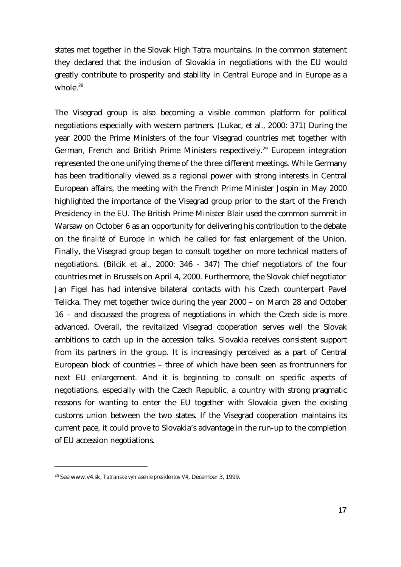states met together in the Slovak High Tatra mountains. In the common statement they declared that the inclusion of Slovakia in negotiations with the EU would greatly contribute to prosperity and stability in Central Europe and in Europe as a whole. $28$ 

The Visegrad group is also becoming a visible common platform for political negotiations especially with western partners. (Lukac, et al., 2000: 371) During the year 2000 the Prime Ministers of the four Visegrad countries met together with German, French and British Prime Ministers respectively.<sup>29</sup> European integration represented the one unifying theme of the three different meetings. While Germany has been traditionally viewed as a regional power with strong interests in Central European affairs, the meeting with the French Prime Minister Jospin in May 2000 highlighted the importance of the Visegrad group prior to the start of the French Presidency in the EU. The British Prime Minister Blair used the common summit in Warsaw on October 6 as an opportunity for delivering his contribution to the debate on the *finalité* of Europe in which he called for fast enlargement of the Union. Finally, the Visegrad group began to consult together on more technical matters of negotiations. (Bilcik et al., 2000: 346 - 347) The chief negotiators of the four countries met in Brussels on April 4, 2000. Furthermore, the Slovak chief negotiator Jan Figel has had intensive bilateral contacts with his Czech counterpart Pavel Telicka. They met together twice during the year 2000 – on March 28 and October 16 – and discussed the progress of negotiations in which the Czech side is more advanced. Overall, the revitalized Visegrad cooperation serves well the Slovak ambitions to catch up in the accession talks. Slovakia receives consistent support from its partners in the group. It is increasingly perceived as a part of Central European block of countries – three of which have been seen as frontrunners for next EU enlargement. And it is beginning to consult on specific aspects of negotiations, especially with the Czech Republic, a country with strong pragmatic reasons for wanting to enter the EU together with Slovakia given the existing customs union between the two states. If the Visegrad cooperation maintains its current pace, it could prove to Slovakia's advantage in the run-up to the completion of EU accession negotiations.

<sup>2 8</sup> See www.v4.sk, *Tatranske vyhlasenie prezidentov V4*, December 3, 1999.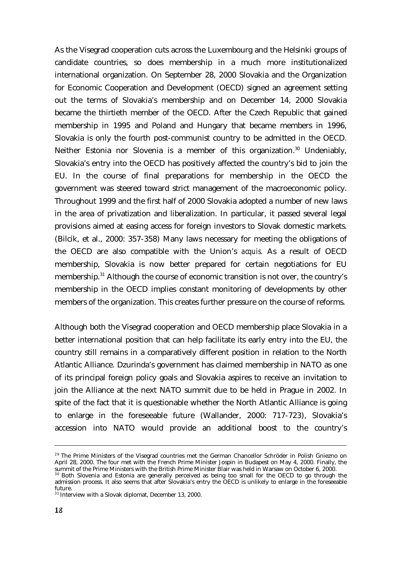As the Visegrad cooperation cuts across the Luxembourg and the Helsinki groups of candidate countries, so does membership in a much more institutionalized international organization. On September 28, 2000 Slovakia and the Organization for Economic Cooperation and Development (OECD) signed an agreement setting out the terms of Slovakia's membership and on December 14, 2000 Slovakia became the thirtieth member of the OECD. After the Czech Republic that gained membership in 1995 and Poland and Hungary that became members in 1996, Slovakia is only the fourth post-communist country to be admitted in the OECD. Neither Estonia nor Slovenia is a member of this organization.<sup>30</sup> Undeniably, Slovakia's entry into the OECD has positively affected the country's bid to join the EU. In the course of final preparations for membership in the OECD the government was steered toward strict management of the macroeconomic policy. Throughout 1999 and the first half of 2000 Slovakia adopted a number of new laws in the area of privatization and liberalization. In particular, it passed several legal provisions aimed at easing access for foreign investors to Slovak domestic markets. (Bilcik, et al., 2000: 357-358) Many laws necessary for meeting the obligations of the OECD are also compatible with the Union's *acquis.* As a result of OECD membership, Slovakia is now better prepared for certain negotiations for EU membership.<sup>31</sup> Although the course of economic transition is not over, the country's membership in the OECD implies constant monitoring of developments by other members of the organization. This creates further pressure on the course of reforms.

Although both the Visegrad cooperation and OECD membership place Slovakia in a better international position that can help facilitate its early entry into the EU, the country still remains in a comparatively different position in relation to the North Atlantic Alliance. Dzurinda's government has claimed membership in NATO as one of its principal foreign policy goals and Slovakia aspires to receive an invitation to join the Alliance at the next NATO summit due to be held in Prague in 2002. In spite of the fact that it is questionable whether the North Atlantic Alliance is going to enlarge in the foreseeable future (Wallander, 2000: 717-723), Slovakia's accession into NATO would provide an additional boost to the country's

<sup>&</sup>lt;sup>29</sup> The Prime Ministers of the Visegrad countries met the German Chancellor Schröder in Polish Gniezno on April 28, 2000. The four met with the French Prime Minister Jospin in Budapest on May 4, 2000. Finally, the summit of the Prime Ministers with the British Prime Minister Blair was held in Warsaw on October 6, 2000.

<sup>&</sup>lt;sup>30</sup> Both Slovenia and Estonia are generally perceived as being too small for the OECD to go through the admission process. It also seems that after Slovakia's entry the OECD is unlikely to enlarge in the foreseeable future.

 $31$  Interview with a Slovak diplomat, December 13, 2000.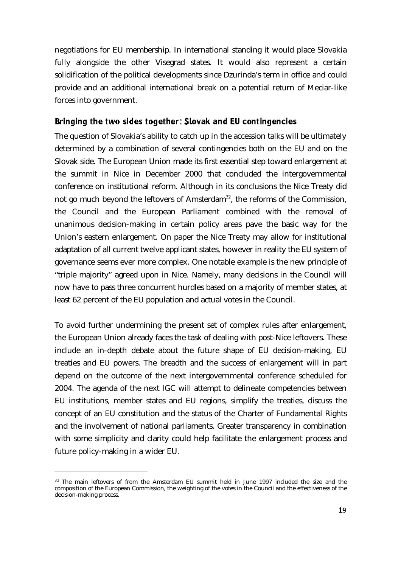negotiations for EU membership. In international standing it would place Slovakia fully alongside the other Visegrad states. It would also represent a certain solidification of the political developments since Dzurinda's term in office and could provide and an additional international break on a potential return of Meciar-like forces into government.

### Bringing the two sides together: Slovak and EU contingencies

The question of Slovakia's ability to catch up in the accession talks will be ultimately determined by a combination of several contingencies both on the EU and on the Slovak side. The European Union made its first essential step toward enlargement at the summit in Nice in December 2000 that concluded the intergovernmental conference on institutional reform. Although in its conclusions the Nice Treaty did not go much beyond the leftovers of Amsterdam<sup>32</sup>, the reforms of the Commission, the Council and the European Parliament combined with the removal of unanimous decision-making in certain policy areas pave the basic way for the Union's eastern enlargement. On paper the Nice Treaty may allow for institutional adaptation of all current twelve applicant states, however in reality the EU system of governance seems ever more complex. One notable example is the new principle of "triple majority" agreed upon in Nice. Namely, many decisions in the Council will now have to pass three concurrent hurdles based on a majority of member states, at least 62 percent of the EU population and actual votes in the Council.

To avoid further undermining the present set of complex rules after enlargement, the European Union already faces the task of dealing with post-Nice leftovers. These include an in-depth debate about the future shape of EU decision-making, EU treaties and EU powers. The breadth and the success of enlargement will in part depend on the outcome of the next intergovernmental conference scheduled for 2004. The agenda of the next IGC will attempt to delineate competencies between EU institutions, member states and EU regions, simplify the treaties, discuss the concept of an EU constitution and the status of the Charter of Fundamental Rights and the involvement of national parliaments. Greater transparency in combination with some simplicity and clarity could help facilitate the enlargement process and future policy-making in a wider EU.

<sup>&</sup>lt;sup>32</sup> The main leftovers of from the Amsterdam EU summit held in June 1997 included the size and the composition of the European Commission, the weighting of the votes in the Council and the effectiveness of the decision-making process.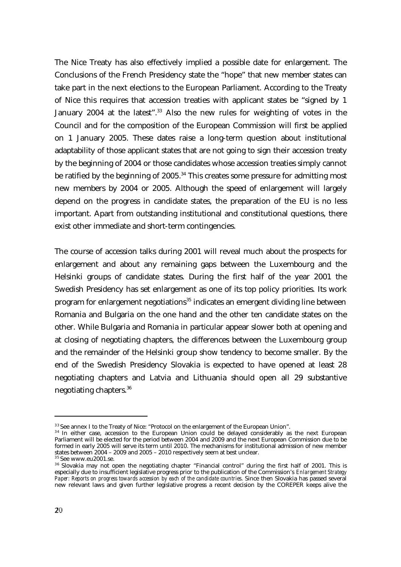The Nice Treaty has also effectively implied a possible date for enlargement. The Conclusions of the French Presidency state the "hope" that new member states can take part in the next elections to the European Parliament. According to the Treaty of Nice this requires that accession treaties with applicant states be "signed by 1 January 2004 at the latest".<sup>33</sup> Also the new rules for weighting of votes in the Council and for the composition of the European Commission will first be applied on 1 January 2005. These dates raise a long-term question about institutional adaptability of those applicant states that are not going to sign their accession treaty by the beginning of 2004 or those candidates whose accession treaties simply cannot be ratified by the beginning of  $2005$ .<sup>34</sup> This creates some pressure for admitting most new members by 2004 or 2005. Although the speed of enlargement will largely depend on the progress in candidate states, the preparation of the EU is no less important. Apart from outstanding institutional and constitutional questions, there exist other immediate and short-term contingencies.

The course of accession talks during 2001 will reveal much about the prospects for enlargement and about any remaining gaps between the Luxembourg and the Helsinki groups of candidate states. During the first half of the year 2001 the Swedish Presidency has set enlargement as one of its top policy priorities. Its work program for enlargement negotiations<sup>35</sup> indicates an emergent dividing line between Romania and Bulgaria on the one hand and the other ten candidate states on the other. While Bulgaria and Romania in particular appear slower both at opening and at closing of negotiating chapters, the differences between the Luxembourg group and the remainder of the Helsinki group show tendency to become smaller. By the end of the Swedish Presidency Slovakia is expected to have opened at least 28 negotiating chapters and Latvia and Lithuania should open all 29 substantive negotiating chapters.<sup>36</sup>

<sup>&</sup>lt;sup>33</sup> See annex I to the Treaty of Nice: "Protocol on the enlargement of the European Union".

<sup>&</sup>lt;sup>34</sup> In either case, accession to the European Union could be delayed considerably as the next European Parliament will be elected for the period between 2004 and 2009 and the next European Commission due to be formed in early 2005 will serve its term until 2010. The mechanisms for institutional admission of new member states between 2004 – 2009 and 2005 – 2010 respectively seem at best unclear.

<sup>&</sup>lt;sup>35</sup> See www.eu2001.se.

 $36$  Slovakia may not open the negotiating chapter "Financial control" during the first half of 2001. This is especially due to insufficient legislative progress prior to the publication of the Commission's *Enlargement Strategy Paper: Reports on progress towards accession by each of the candidate countries*. Since then Slovakia has passed several new relevant laws and given further legislative progress a recent decision by the COREPER keeps alive the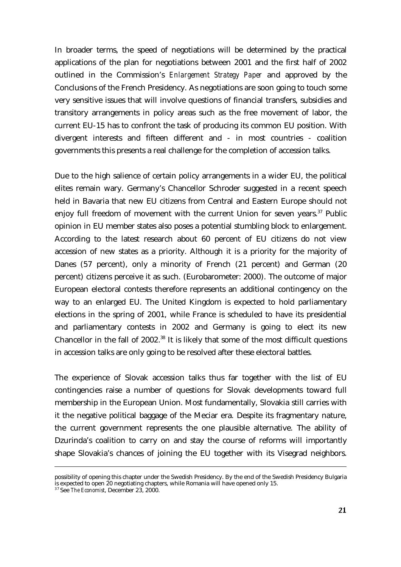In broader terms, the speed of negotiations will be determined by the practical applications of the plan for negotiations between 2001 and the first half of 2002 outlined in the Commission's *Enlargement Strategy Paper* and approved by the Conclusions of the French Presidency. As negotiations are soon going to touch some very sensitive issues that will involve questions of financial transfers, subsidies and transitory arrangements in policy areas such as the free movement of labor, the current EU-15 has to confront the task of producing its common EU position. With divergent interests and fifteen different and - in most countries - coalition governments this presents a real challenge for the completion of accession talks.

Due to the high salience of certain policy arrangements in a wider EU, the political elites remain wary. Germany's Chancellor Schroder suggested in a recent speech held in Bavaria that new EU citizens from Central and Eastern Europe should not enjoy full freedom of movement with the current Union for seven years.<sup>37</sup> Public opinion in EU member states also poses a potential stumbling block to enlargement. According to the latest research about 60 percent of EU citizens do not view accession of new states as a priority. Although it is a priority for the majority of Danes (57 percent), only a minority of French (21 percent) and German (20 percent) citizens perceive it as such. (Eurobarometer: 2000). The outcome of major European electoral contests therefore represents an additional contingency on the way to an enlarged EU. The United Kingdom is expected to hold parliamentary elections in the spring of 2001, while France is scheduled to have its presidential and parliamentary contests in 2002 and Germany is going to elect its new Chancellor in the fall of  $2002<sup>38</sup>$  It is likely that some of the most difficult questions in accession talks are only going to be resolved after these electoral battles.

The experience of Slovak accession talks thus far together with the list of EU contingencies raise a number of questions for Slovak developments toward full membership in the European Union. Most fundamentally, Slovakia still carries with it the negative political baggage of the Meciar era. Despite its fragmentary nature, the current government represents the one plausible alternative. The ability of Dzurinda's coalition to carry on and stay the course of reforms will importantly shape Slovakia's chances of joining the EU together with its Visegrad neighbors.

possibility of opening this chapter under the Swedish Presidency. By the end of the Swedish Presidency Bulgaria is expected to open 20 negotiating chapters, while Romania will have opened only 15.

<sup>3 7</sup> See *The Economist*, December 23, 2000.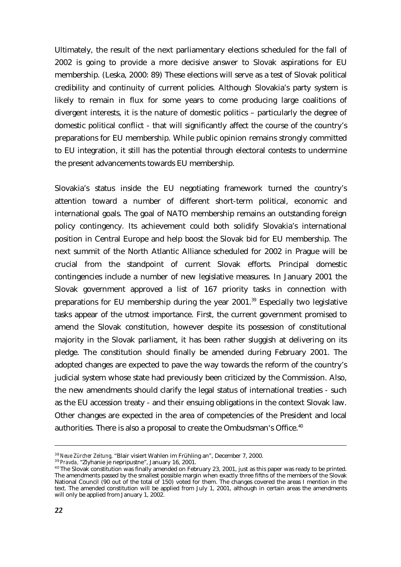Ultimately, the result of the next parliamentary elections scheduled for the fall of 2002 is going to provide a more decisive answer to Slovak aspirations for EU membership. (Leska, 2000: 89) These elections will serve as a test of Slovak political credibility and continuity of current policies. Although Slovakia's party system is likely to remain in flux for some years to come producing large coalitions of divergent interests, it is the nature of domestic politics – particularly the degree of domestic political conflict - that will significantly affect the course of the country's preparations for EU membership. While public opinion remains strongly committed to EU integration, it still has the potential through electoral contests to undermine the present advancements towards EU membership.

Slovakia's status inside the EU negotiating framework turned the country's attention toward a number of different short-term political, economic and international goals. The goal of NATO membership remains an outstanding foreign policy contingency. Its achievement could both solidify Slovakia's international position in Central Europe and help boost the Slovak bid for EU membership. The next summit of the North Atlantic Alliance scheduled for 2002 in Prague will be crucial from the standpoint of current Slovak efforts. Principal domestic contingencies include a number of new legislative measures. In January 2001 the Slovak government approved a list of 167 priority tasks in connection with preparations for EU membership during the year  $2001$ .<sup>39</sup> Especially two legislative tasks appear of the utmost importance. First, the current government promised to amend the Slovak constitution, however despite its possession of constitutional majority in the Slovak parliament, it has been rather sluggish at delivering on its pledge. The constitution should finally be amended during February 2001. The adopted changes are expected to pave the way towards the reform of the country's judicial system whose state had previously been criticized by the Commission. Also, the new amendments should clarify the legal status of international treaties - such as the EU accession treaty - and their ensuing obligations in the context Slovak law. Other changes are expected in the area of competencies of the President and local authorities. There is also a proposal to create the Ombudsman's Office.<sup>40</sup>

<sup>3 8</sup> *Neue Zürcher Zeitung,* "Blair visiert Wahlen im Frühling an", December 7, 2000.

<sup>3 9</sup> *Pravda,* "Zlyhanie je nepripustne", January 16, 2001.

<sup>&</sup>lt;sup>40</sup> The Slovak constitution was finally amended on February 23, 2001, just as this paper was ready to be printed. The amendments passed by the smallest possible margin when exactly three fifths of the members of the Slovak National Council (90 out of the total of 150) voted for them. The changes covered the areas I mention in the text. The amended constitution will be applied from July 1, 2001, although in certain areas the amendments will only be applied from January 1, 2002.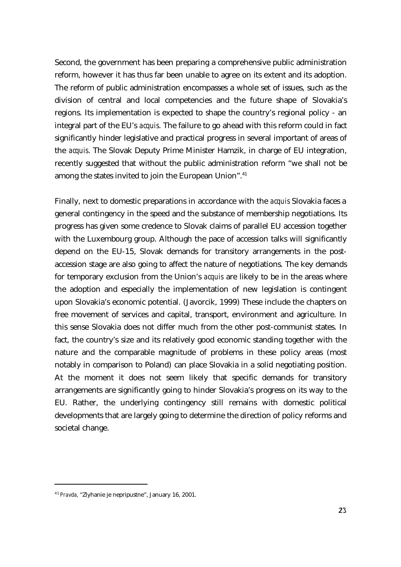Second, the government has been preparing a comprehensive public administration reform, however it has thus far been unable to agree on its extent and its adoption. The reform of public administration encompasses a whole set of issues, such as the division of central and local competencies and the future shape of Slovakia's regions. Its implementation is expected to shape the country's regional policy - an integral part of the EU's *acquis*. The failure to go ahead with this reform could in fact significantly hinder legislative and practical progress in several important of areas of the *acquis*. The Slovak Deputy Prime Minister Hamzik, in charge of EU integration, recently suggested that without the public administration reform "we shall not be among the states invited to join the European Union".<sup>41</sup>

Finally, next to domestic preparations in accordance with the *acquis* Slovakia faces a general contingency in the speed and the substance of membership negotiations. Its progress has given some credence to Slovak claims of parallel EU accession together with the Luxembourg group. Although the pace of accession talks will significantly depend on the EU-15, Slovak demands for transitory arrangements in the postaccession stage are also going to affect the nature of negotiations. The key demands for temporary exclusion from the Union's *acquis* are likely to be in the areas where the adoption and especially the implementation of new legislation is contingent upon Slovakia's economic potential. (Javorcik, 1999) These include the chapters on free movement of services and capital, transport, environment and agriculture. In this sense Slovakia does not differ much from the other post-communist states. In fact, the country's size and its relatively good economic standing together with the nature and the comparable magnitude of problems in these policy areas (most notably in comparison to Poland) can place Slovakia in a solid negotiating position. At the moment it does not seem likely that specific demands for transitory arrangements are significantly going to hinder Slovakia's progress on its way to the EU. Rather, the underlying contingency still remains with domestic political developments that are largely going to determine the direction of policy reforms and societal change.

<sup>4 1</sup> *Pravda,* "Zlyhanie je nepripustne", January 16, 2001.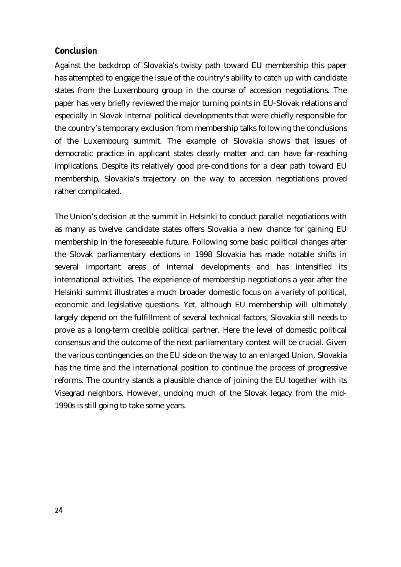## **Conclusion**

Against the backdrop of Slovakia's twisty path toward EU membership this paper has attempted to engage the issue of the country's ability to catch up with candidate states from the Luxembourg group in the course of accession negotiations. The paper has very briefly reviewed the major turning points in EU-Slovak relations and especially in Slovak internal political developments that were chiefly responsible for the country's temporary exclusion from membership talks following the conclusions of the Luxembourg summit. The example of Slovakia shows that issues of democratic practice in applicant states clearly matter and can have far-reaching implications. Despite its relatively good pre-conditions for a clear path toward EU membership, Slovakia's trajectory on the way to accession negotiations proved rather complicated.

The Union's decision at the summit in Helsinki to conduct parallel negotiations with as many as twelve candidate states offers Slovakia a new chance for gaining EU membership in the foreseeable future. Following some basic political changes after the Slovak parliamentary elections in 1998 Slovakia has made notable shifts in several important areas of internal developments and has intensified its international activities. The experience of membership negotiations a year after the Helsinki summit illustrates a much broader domestic focus on a variety of political, economic and legislative questions. Yet, although EU membership will ultimately largely depend on the fulfillment of several technical factors, Slovakia still needs to prove as a long-term credible political partner. Here the level of domestic political consensus and the outcome of the next parliamentary contest will be crucial. Given the various contingencies on the EU side on the way to an enlarged Union, Slovakia has the time and the international position to continue the process of progressive reforms. The country stands a plausible chance of joining the EU together with its Visegrad neighbors. However, undoing much of the Slovak legacy from the mid-1990s is still going to take some years.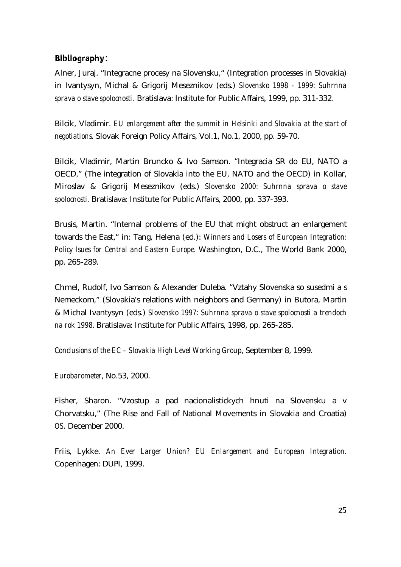### **Bibliography:**

Alner, Juraj. "Integracne procesy na Slovensku," (Integration processes in Slovakia) in Ivantysyn, Michal & Grigorij Meseznikov (eds.) *Slovensko 1998 - 1999: Suhrnna sprava o stave spolocnosti*. Bratislava: Institute for Public Affairs, 1999, pp. 311-332.

Bilcik, Vladimir. *EU enlargement after the summit in Helsinki and Slovakia at the start of negotiations.* Slovak Foreign Policy Affairs, Vol.1, No.1, 2000, pp. 59-70.

Bilcik, Vladimir, Martin Bruncko & Ivo Samson. "Integracia SR do EU, NATO a OECD," (The integration of Slovakia into the EU, NATO and the OECD) in Kollar, Miroslav & Grigorij Meseznikov (eds.) *Slovensko 2000: Suhrnna sprava o stave spolocnosti.* Bratislava: Institute for Public Affairs, 2000, pp. 337-393.

Brusis, Martin. "Internal problems of the EU that might obstruct an enlargement towards the East," in: Tang, Helena (ed.): *Winners and Losers of European Integration: Policy Isues for Central and Eastern Europe.* Washington, D.C., The World Bank 2000, pp. 265-289.

Chmel, Rudolf, Ivo Samson & Alexander Duleba. "Vztahy Slovenska so susedmi a s Nemeckom," (Slovakia's relations with neighbors and Germany) in Butora, Martin & Michal Ivantysyn (eds.) *Slovensko 1997: Suhrnna sprava o stave spolocnosti a trendoch na rok 1998.* Bratislava: Institute for Public Affairs, 1998, pp. 265-285.

*Conclusions of the EC – Slovakia High Level Working Group,* September 8, 1999.

*Eurobarometer,* No.53, 2000.

Fisher, Sharon. "Vzostup a pad nacionalistickych hnuti na Slovensku a v Chorvatsku," (The Rise and Fall of National Movements in Slovakia and Croatia) *OS.* December 2000.

Friis, Lykke. *An Ever Larger Union? EU Enlargement and European Integration.* Copenhagen: DUPI, 1999.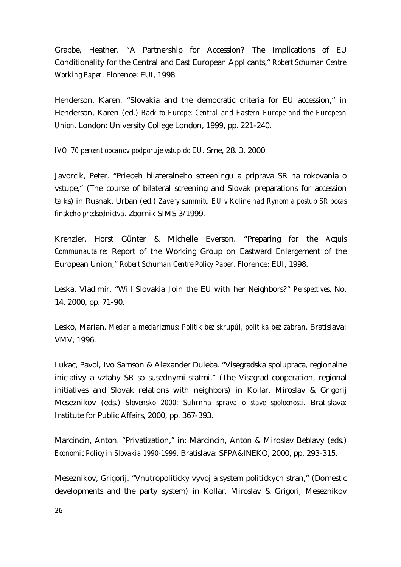Grabbe, Heather. "A Partnership for Accession? The Implications of EU Conditionality for the Central and East European Applicants," *Robert Schuman Centre Working Paper*. Florence: EUI, 1998.

Henderson, Karen. "Slovakia and the democratic criteria for EU accession," in Henderson, Karen (ed.) *Back to Europe: Central and Eastern Europe and the European Union.* London: University College London, 1999, pp. 221-240.

*IVO: 70 percent obcanov podporuje vstup do EU.* Sme, 28. 3. 2000.

Javorcik, Peter. "Priebeh bilateralneho screeningu a priprava SR na rokovania o vstupe," (The course of bilateral screening and Slovak preparations for accession talks) in Rusnak, Urban (ed.) *Zavery summitu EU v Koline nad Rynom a postup SR pocas finskeho predsednictva.* Zbornik SIMS 3/1999.

Krenzler, Horst Günter & Michelle Everson. "Preparing for the *Acquis Communautaire*: Report of the Working Group on Eastward Enlargement of the European Union," *Robert Schuman Centre Policy Paper.* Florence: EUI, 1998.

Leska, Vladimir. "Will Slovakia Join the EU with her Neighbors?" *Perspectives,* No. 14, 2000, pp. 71-90.

Lesko, Marian. *Meciar a meciarizmus: Politik bez skrupúl, politika bez zabran*. Bratislava: VMV, 1996.

Lukac, Pavol, Ivo Samson & Alexander Duleba. "Visegradska spolupraca, regionalne iniciativy a vztahy SR so susednymi statmi," (The Visegrad cooperation, regional initiatives and Slovak relations with neighbors) in Kollar, Miroslav & Grigorij Meseznikov (eds.) *Slovensko 2000: Suhrnna sprava o stave spolocnosti.* Bratislava: Institute for Public Affairs, 2000, pp. 367-393.

Marcincin, Anton. "Privatization," in: Marcincin, Anton & Miroslav Beblavy (eds.) *Economic Policy in Slovakia 1990-1999.* Bratislava: SFPA&INEKO, 2000, pp. 293-315.

Meseznikov, Grigorij. "Vnutropoliticky vyvoj a system politickych stran," (Domestic developments and the party system) in Kollar, Miroslav & Grigorij Meseznikov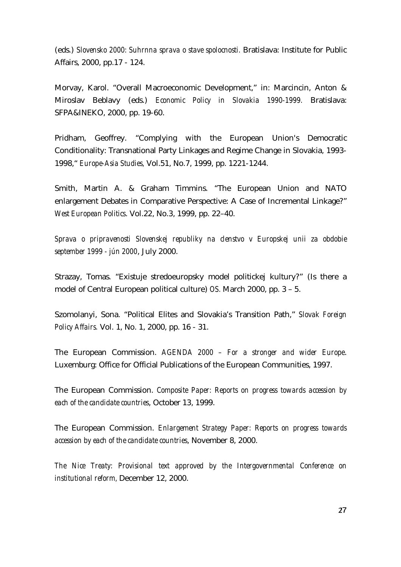(eds.) *Slovensko 2000: Suhrnna sprava o stave spolocnosti.* Bratislava: Institute for Public Affairs, 2000, pp.17 - 124.

Morvay, Karol. "Overall Macroeconomic Development," in: Marcincin, Anton & Miroslav Beblavy (eds.) *Economic Policy in Slovakia 1990-1999.* Bratislava: SFPA&INEKO, 2000, pp. 19-60.

Pridham, Geoffrey. "Complying with the European Union's Democratic Conditionality: Transnational Party Linkages and Regime Change in Slovakia, 1993- 1998," *Europe-Asia Studies,* Vol.51, No.7, 1999, pp. 1221-1244.

Smith, Martin A. & Graham Timmins. "The European Union and NATO enlargement Debates in Comparative Perspective: A Case of Incremental Linkage?" *West European Politics*. Vol.22, No.3, 1999, pp. 22–40.

*Sprava o pripravenosti Slovenskej republiky na clenstvo v Europskej unii za obdobie september 1999 - jún 2000*, July 2000.

Strazay, Tomas. "Existuje stredoeuropsky model politickej kultury?" (Is there a model of Central European political culture) *OS.* March 2000, pp. 3 – 5.

Szomolanyi, Sona. "Political Elites and Slovakia's Transition Path," *Slovak Foreign Policy Affairs.* Vol. 1, No. 1, 2000, pp. 16 - 31.

The European Commission. *AGENDA 2000 – For a stronger and wider Europe*. Luxemburg: Office for Official Publications of the European Communities, 1997.

The European Commission. *Composite Paper: Reports on progress towards accession by each of the candidate countries*, October 13, 1999.

The European Commission. *Enlargement Strategy Paper: Reports on progress towards accession by each of the candidate countries*, November 8, 2000.

*The Nice Treaty: Provisional text approved by the Intergovernmental Conference on institutional reform,* December 12, 2000.